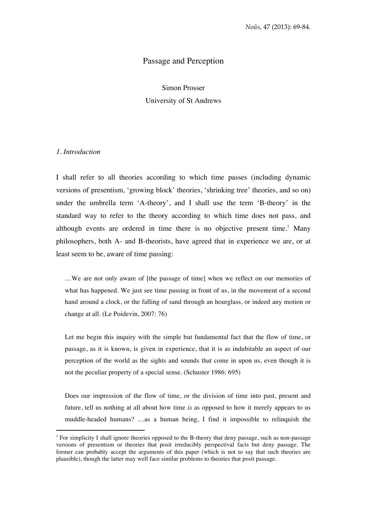## Passage and Perception

# Simon Prosser University of St Andrews

## *1. Introduction*

 $\overline{a}$ 

I shall refer to all theories according to which time passes (including dynamic versions of presentism, 'growing block' theories, 'shrinking tree' theories, and so on) under the umbrella term 'A-theory', and I shall use the term 'B-theory' in the standard way to refer to the theory according to which time does not pass, and although events are ordered in time there is no objective present time.<sup>1</sup> Many philosophers, both A- and B-theorists, have agreed that in experience we are, or at least seem to be, aware of time passing:

…We are not only aware of [the passage of time] when we reflect on our memories of what has happened. We just see time passing in front of us, in the movement of a second hand around a clock, or the falling of sand through an hourglass, or indeed any motion or change at all. (Le Poidevin, 2007: 76)

Let me begin this inquiry with the simple but fundamental fact that the flow of time, or passage, as it is known, is given in experience, that it is as indubitable an aspect of our perception of the world as the sights and sounds that come in upon us, even though it is not the peculiar property of a special sense. (Schuster 1986: 695)

Does our impression of the flow of time, or the division of time into past, present and future, tell us nothing at all about how time *is* as opposed to how it merely appears to us muddle-headed humans? …as a human being, I find it impossible to relinquish the

<sup>&</sup>lt;sup>1</sup> For simplicity I shall ignore theories opposed to the B-theory that deny passage, such as non-passage versions of presentism or theories that posit irreducibly perspectival facts but deny passage. The former can probably accept the arguments of this paper (which is not to say that such theories are plausible), though the latter may well face similar problems to theories that posit passage.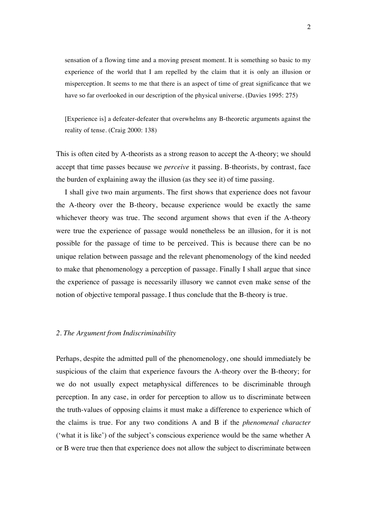sensation of a flowing time and a moving present moment. It is something so basic to my experience of the world that I am repelled by the claim that it is only an illusion or misperception. It seems to me that there is an aspect of time of great significance that we have so far overlooked in our description of the physical universe. (Davies 1995: 275)

[Experience is] a defeater-defeater that overwhelms any B-theoretic arguments against the reality of tense. (Craig 2000: 138)

This is often cited by A-theorists as a strong reason to accept the A-theory; we should accept that time passes because we *perceive* it passing. B-theorists, by contrast, face the burden of explaining away the illusion (as they see it) of time passing.

I shall give two main arguments. The first shows that experience does not favour the A-theory over the B-theory, because experience would be exactly the same whichever theory was true. The second argument shows that even if the A-theory were true the experience of passage would nonetheless be an illusion, for it is not possible for the passage of time to be perceived. This is because there can be no unique relation between passage and the relevant phenomenology of the kind needed to make that phenomenology a perception of passage. Finally I shall argue that since the experience of passage is necessarily illusory we cannot even make sense of the notion of objective temporal passage. I thus conclude that the B-theory is true.

#### *2. The Argument from Indiscriminability*

Perhaps, despite the admitted pull of the phenomenology, one should immediately be suspicious of the claim that experience favours the A-theory over the B-theory; for we do not usually expect metaphysical differences to be discriminable through perception. In any case, in order for perception to allow us to discriminate between the truth-values of opposing claims it must make a difference to experience which of the claims is true. For any two conditions A and B if the *phenomenal character* ('what it is like') of the subject's conscious experience would be the same whether A or B were true then that experience does not allow the subject to discriminate between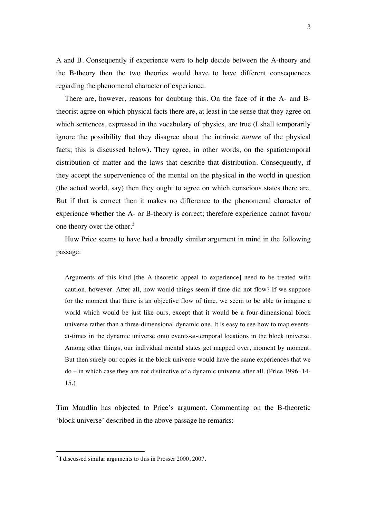A and B. Consequently if experience were to help decide between the A-theory and the B-theory then the two theories would have to have different consequences

There are, however, reasons for doubting this. On the face of it the A- and Btheorist agree on which physical facts there are, at least in the sense that they agree on which sentences, expressed in the vocabulary of physics, are true (I shall temporarily ignore the possibility that they disagree about the intrinsic *nature* of the physical facts; this is discussed below). They agree, in other words, on the spatiotemporal distribution of matter and the laws that describe that distribution. Consequently, if they accept the supervenience of the mental on the physical in the world in question (the actual world, say) then they ought to agree on which conscious states there are. But if that is correct then it makes no difference to the phenomenal character of experience whether the A- or B-theory is correct; therefore experience cannot favour one theory over the other.<sup>2</sup>

regarding the phenomenal character of experience.

Huw Price seems to have had a broadly similar argument in mind in the following passage:

Arguments of this kind [the A-theoretic appeal to experience] need to be treated with caution, however. After all, how would things seem if time did not flow? If we suppose for the moment that there is an objective flow of time, we seem to be able to imagine a world which would be just like ours, except that it would be a four-dimensional block universe rather than a three-dimensional dynamic one. It is easy to see how to map eventsat-times in the dynamic universe onto events-at-temporal locations in the block universe. Among other things, our individual mental states get mapped over, moment by moment. But then surely our copies in the block universe would have the same experiences that we do – in which case they are not distinctive of a dynamic universe after all. (Price 1996: 14- 15.)

Tim Maudlin has objected to Price's argument. Commenting on the B-theoretic 'block universe' described in the above passage he remarks:

<sup>&</sup>lt;sup>2</sup> I discussed similar arguments to this in Prosser 2000, 2007.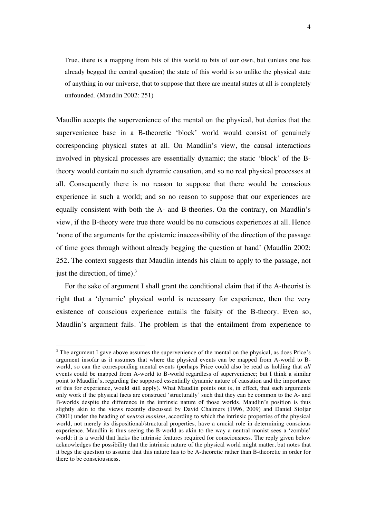True, there is a mapping from bits of this world to bits of our own, but (unless one has already begged the central question) the state of this world is so unlike the physical state of anything in our universe, that to suppose that there are mental states at all is completely unfounded. (Maudlin 2002: 251)

Maudlin accepts the supervenience of the mental on the physical, but denies that the supervenience base in a B-theoretic 'block' world would consist of genuinely corresponding physical states at all. On Maudlin's view, the causal interactions involved in physical processes are essentially dynamic; the static 'block' of the Btheory would contain no such dynamic causation, and so no real physical processes at all. Consequently there is no reason to suppose that there would be conscious experience in such a world; and so no reason to suppose that our experiences are equally consistent with both the A- and B-theories. On the contrary, on Maudlin's view, if the B-theory were true there would be no conscious experiences at all. Hence 'none of the arguments for the epistemic inaccessibility of the direction of the passage of time goes through without already begging the question at hand' (Maudlin 2002: 252. The context suggests that Maudlin intends his claim to apply to the passage, not just the direction, of time). $3$ 

For the sake of argument I shall grant the conditional claim that if the A-theorist is right that a 'dynamic' physical world is necessary for experience, then the very existence of conscious experience entails the falsity of the B-theory. Even so, Maudlin's argument fails. The problem is that the entailment from experience to

 $3$  The argument I gave above assumes the supervenience of the mental on the physical, as does Price's argument insofar as it assumes that where the physical events can be mapped from A-world to Bworld, so can the corresponding mental events (perhaps Price could also be read as holding that *all* events could be mapped from A-world to B-world regardless of supervenience; but I think a similar point to Maudlin's, regarding the supposed essentially dynamic nature of causation and the importance of this for experience, would still apply). What Maudlin points out is, in effect, that such arguments only work if the physical facts are construed 'structurally' such that they can be common to the A- and B-worlds despite the difference in the intrinsic nature of those worlds. Maudlin's position is thus slightly akin to the views recently discussed by David Chalmers (1996, 2009) and Daniel Stoljar (2001) under the heading of *neutral monism*, according to which the intrinsic properties of the physical world, not merely its dispositional/structural properties, have a crucial role in determining conscious experience. Maudlin is thus seeing the B-world as akin to the way a neutral monist sees a 'zombie' world: it is a world that lacks the intrinsic features required for consciousness. The reply given below acknowledges the possibility that the intrinsic nature of the physical world might matter, but notes that it begs the question to assume that this nature has to be A-theoretic rather than B-theoretic in order for there to be consciousness.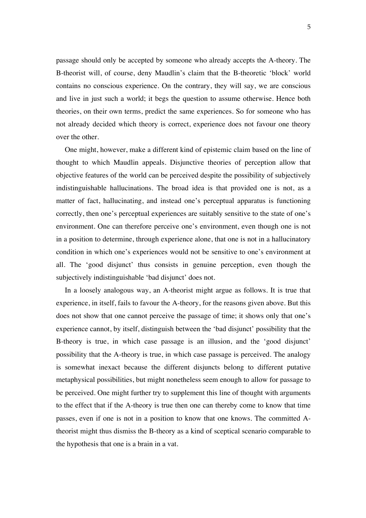passage should only be accepted by someone who already accepts the A-theory. The B-theorist will, of course, deny Maudlin's claim that the B-theoretic 'block' world contains no conscious experience. On the contrary, they will say, we are conscious and live in just such a world; it begs the question to assume otherwise. Hence both theories, on their own terms, predict the same experiences. So for someone who has not already decided which theory is correct, experience does not favour one theory over the other.

One might, however, make a different kind of epistemic claim based on the line of thought to which Maudlin appeals. Disjunctive theories of perception allow that objective features of the world can be perceived despite the possibility of subjectively indistinguishable hallucinations. The broad idea is that provided one is not, as a matter of fact, hallucinating, and instead one's perceptual apparatus is functioning correctly, then one's perceptual experiences are suitably sensitive to the state of one's environment. One can therefore perceive one's environment, even though one is not in a position to determine, through experience alone, that one is not in a hallucinatory condition in which one's experiences would not be sensitive to one's environment at all. The 'good disjunct' thus consists in genuine perception, even though the subjectively indistinguishable 'bad disjunct' does not.

In a loosely analogous way, an A-theorist might argue as follows. It is true that experience, in itself, fails to favour the A-theory, for the reasons given above. But this does not show that one cannot perceive the passage of time; it shows only that one's experience cannot, by itself, distinguish between the 'bad disjunct' possibility that the B-theory is true, in which case passage is an illusion, and the 'good disjunct' possibility that the A-theory is true, in which case passage is perceived. The analogy is somewhat inexact because the different disjuncts belong to different putative metaphysical possibilities, but might nonetheless seem enough to allow for passage to be perceived. One might further try to supplement this line of thought with arguments to the effect that if the A-theory is true then one can thereby come to know that time passes, even if one is not in a position to know that one knows. The committed Atheorist might thus dismiss the B-theory as a kind of sceptical scenario comparable to the hypothesis that one is a brain in a vat.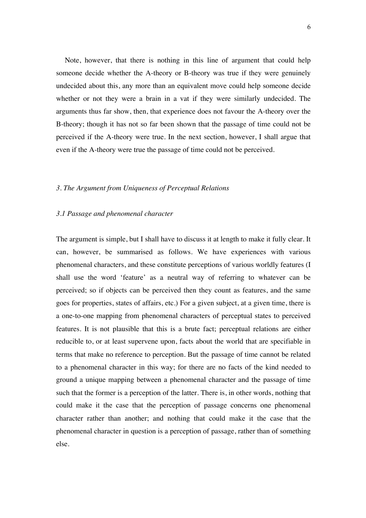Note, however, that there is nothing in this line of argument that could help someone decide whether the A-theory or B-theory was true if they were genuinely undecided about this, any more than an equivalent move could help someone decide whether or not they were a brain in a vat if they were similarly undecided. The arguments thus far show, then, that experience does not favour the A-theory over the B-theory; though it has not so far been shown that the passage of time could not be perceived if the A-theory were true. In the next section, however, I shall argue that even if the A-theory were true the passage of time could not be perceived.

#### *3. The Argument from Uniqueness of Perceptual Relations*

#### *3.1 Passage and phenomenal character*

The argument is simple, but I shall have to discuss it at length to make it fully clear. It can, however, be summarised as follows. We have experiences with various phenomenal characters, and these constitute perceptions of various worldly features (I shall use the word 'feature' as a neutral way of referring to whatever can be perceived; so if objects can be perceived then they count as features, and the same goes for properties, states of affairs, etc.) For a given subject, at a given time, there is a one-to-one mapping from phenomenal characters of perceptual states to perceived features. It is not plausible that this is a brute fact; perceptual relations are either reducible to, or at least supervene upon, facts about the world that are specifiable in terms that make no reference to perception. But the passage of time cannot be related to a phenomenal character in this way; for there are no facts of the kind needed to ground a unique mapping between a phenomenal character and the passage of time such that the former is a perception of the latter. There is, in other words, nothing that could make it the case that the perception of passage concerns one phenomenal character rather than another; and nothing that could make it the case that the phenomenal character in question is a perception of passage, rather than of something else.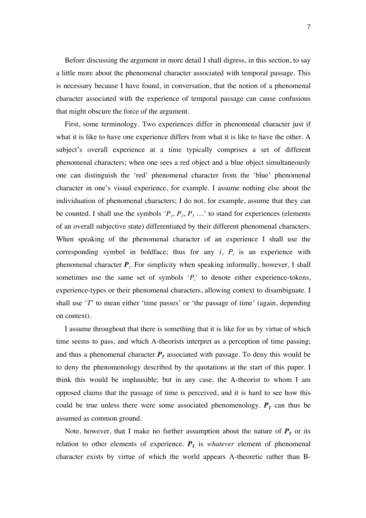Before discussing the argument in more detail I shall digress, in this section, to say a little more about the phenomenal character associated with temporal passage. This is necessary because I have found, in conversation, that the notion of a phenomenal character associated with the experience of temporal passage can cause confusions that might obscure the force of the argument.

First, some terminology. Two experiences differ in phenomenal character just if what it is like to have one experience differs from what it is like to have the other. A subject's overall experience at a time typically comprises a set of different phenomenal characters; when one sees a red object and a blue object simultaneously one can distinguish the 'red' phenomenal character from the 'blue' phenomenal character in one's visual experience, for example. I assume nothing else about the individuation of phenomenal characters; I do not, for example, assume that they can be counted. I shall use the symbols  $P_1, P_2, P_3, \ldots$  to stand for experiences (elements of an overall subjective state) differentiated by their different phenomenal characters. When speaking of the phenomenal character of an experience I shall use the corresponding symbol in boldface; thus for any  $i$ ,  $P_i$  is an experience with phenomenal character  $P_i$ . For simplicity when speaking informally, however, I shall sometimes use the same set of symbols  $P_i$  to denote either experience-tokens, experience-types or their phenomenal characters, allowing context to disambiguate. I shall use '*T*' to mean either 'time passes' or 'the passage of time' (again, depending on context).

I assume throughout that there is something that it is like for us by virtue of which time seems to pass, and which A-theorists interpret as a perception of time passing; and thus a phenomenal character  $P<sub>T</sub>$  associated with passage. To deny this would be to deny the phenomenology described by the quotations at the start of this paper. I think this would be implausible; but in any case, the A-theorist to whom I am opposed claims that the passage of time is perceived, and it is hard to see how this could be true unless there were some associated phenomenology.  $P<sub>T</sub>$  can thus be assumed as common ground.

Note, however, that I make no further assumption about the nature of  $P<sub>T</sub>$  or its relation to other elements of experience.  $P<sub>T</sub>$  is *whatever* element of phenomenal character exists by virtue of which the world appears A-theoretic rather than B-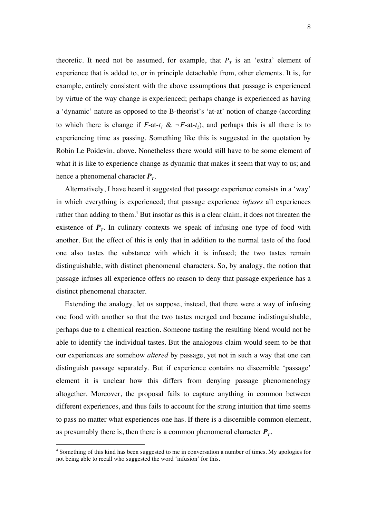theoretic. It need not be assumed, for example, that  $P<sub>T</sub>$  is an 'extra' element of experience that is added to, or in principle detachable from, other elements. It is, for example, entirely consistent with the above assumptions that passage is experienced by virtue of the way change is experienced; perhaps change is experienced as having a 'dynamic' nature as opposed to the B-theorist's 'at-at' notion of change (according to which there is change if  $F$ -at- $t_1 \& \neg F$ -at- $t_2$ ), and perhaps this is all there is to experiencing time as passing. Something like this is suggested in the quotation by Robin Le Poidevin, above. Nonetheless there would still have to be some element of what it is like to experience change as dynamic that makes it seem that way to us; and hence a phenomenal character  $P_T$ .

Alternatively, I have heard it suggested that passage experience consists in a 'way' in which everything is experienced; that passage experience *infuses* all experiences rather than adding to them.<sup>4</sup> But insofar as this is a clear claim, it does not threaten the existence of  $P_T$ . In culinary contexts we speak of infusing one type of food with another. But the effect of this is only that in addition to the normal taste of the food one also tastes the substance with which it is infused; the two tastes remain distinguishable, with distinct phenomenal characters. So, by analogy, the notion that passage infuses all experience offers no reason to deny that passage experience has a distinct phenomenal character.

Extending the analogy, let us suppose, instead, that there were a way of infusing one food with another so that the two tastes merged and became indistinguishable, perhaps due to a chemical reaction. Someone tasting the resulting blend would not be able to identify the individual tastes. But the analogous claim would seem to be that our experiences are somehow *altered* by passage, yet not in such a way that one can distinguish passage separately. But if experience contains no discernible 'passage' element it is unclear how this differs from denying passage phenomenology altogether. Moreover, the proposal fails to capture anything in common between different experiences, and thus fails to account for the strong intuition that time seems to pass no matter what experiences one has. If there is a discernible common element, as presumably there is, then there is a common phenomenal character  $P_T$ .

<sup>4</sup> Something of this kind has been suggested to me in conversation a number of times. My apologies for not being able to recall who suggested the word 'infusion' for this.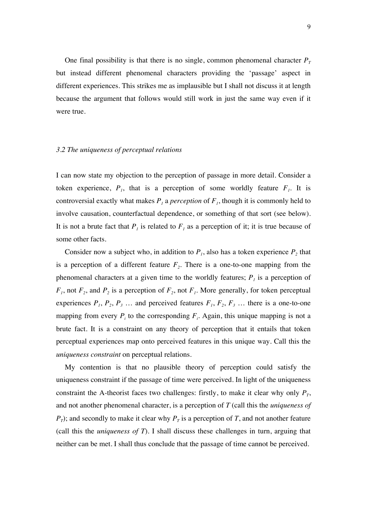One final possibility is that there is no single, common phenomenal character  $P_T$ but instead different phenomenal characters providing the 'passage' aspect in different experiences. This strikes me as implausible but I shall not discuss it at length because the argument that follows would still work in just the same way even if it were true.

#### *3.2 The uniqueness of perceptual relations*

I can now state my objection to the perception of passage in more detail. Consider a token experience,  $P_1$ , that is a perception of some worldly feature  $F_1$ . It is controversial exactly what makes  $P_1$  a *perception* of  $F_1$ , though it is commonly held to involve causation, counterfactual dependence, or something of that sort (see below). It is not a brute fact that  $P<sub>l</sub>$  is related to  $F<sub>l</sub>$  as a perception of it; it is true because of some other facts.

Consider now a subject who, in addition to  $P_1$ , also has a token experience  $P_2$  that is a perception of a different feature  $F_2$ . There is a one-to-one mapping from the phenomenal characters at a given time to the worldly features;  $P<sub>1</sub>$  is a perception of  $F_1$ , not  $F_2$ , and  $P_2$  is a perception of  $F_2$ , not  $F_1$ . More generally, for token perceptual experiences  $P_1$ ,  $P_2$ ,  $P_3$  ... and perceived features  $F_1$ ,  $F_2$ ,  $F_3$  ... there is a one-to-one mapping from every  $P_i$  to the corresponding  $F_i$ . Again, this unique mapping is not a brute fact. It is a constraint on any theory of perception that it entails that token perceptual experiences map onto perceived features in this unique way. Call this the *uniqueness constraint* on perceptual relations.

My contention is that no plausible theory of perception could satisfy the uniqueness constraint if the passage of time were perceived. In light of the uniqueness constraint the A-theorist faces two challenges: firstly, to make it clear why only  $P_T$ , and not another phenomenal character, is a perception of *T* (call this the *uniqueness of*   $P_T$ ); and secondly to make it clear why  $P_T$  is a perception of *T*, and not another feature (call this the *uniqueness of T*). I shall discuss these challenges in turn, arguing that neither can be met. I shall thus conclude that the passage of time cannot be perceived.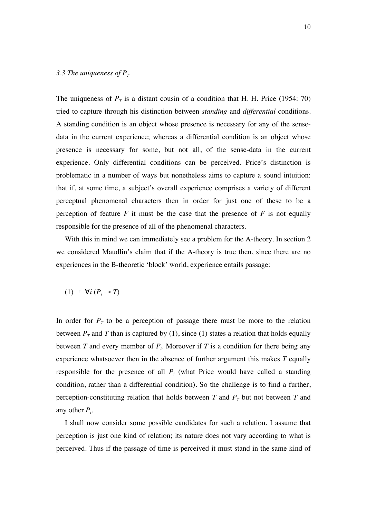#### 3.3 The uniqueness of  $P_T$

The uniqueness of  $P<sub>T</sub>$  is a distant cousin of a condition that H. H. Price (1954: 70) tried to capture through his distinction between *standing* and *differential* conditions. A standing condition is an object whose presence is necessary for any of the sensedata in the current experience; whereas a differential condition is an object whose presence is necessary for some, but not all, of the sense-data in the current experience. Only differential conditions can be perceived. Price's distinction is problematic in a number of ways but nonetheless aims to capture a sound intuition: that if, at some time, a subject's overall experience comprises a variety of different perceptual phenomenal characters then in order for just one of these to be a perception of feature  $F$  it must be the case that the presence of  $F$  is not equally responsible for the presence of all of the phenomenal characters.

With this in mind we can immediately see a problem for the A-theory. In section 2 we considered Maudlin's claim that if the A-theory is true then, since there are no experiences in the B-theoretic 'block' world, experience entails passage:

$$
(1) \ \Box \ \forall i \ (P_i \rightarrow T)
$$

In order for  $P<sub>T</sub>$  to be a perception of passage there must be more to the relation between  $P<sub>T</sub>$  and *T* than is captured by (1), since (1) states a relation that holds equally between *T* and every member of  $P_i$ . Moreover if *T* is a condition for there being any experience whatsoever then in the absence of further argument this makes *T* equally responsible for the presence of all  $P_i$  (what Price would have called a standing condition, rather than a differential condition). So the challenge is to find a further, perception-constituting relation that holds between  $T$  and  $P_T$  but not between  $T$  and any other  $P_i$ .

I shall now consider some possible candidates for such a relation. I assume that perception is just one kind of relation; its nature does not vary according to what is perceived. Thus if the passage of time is perceived it must stand in the same kind of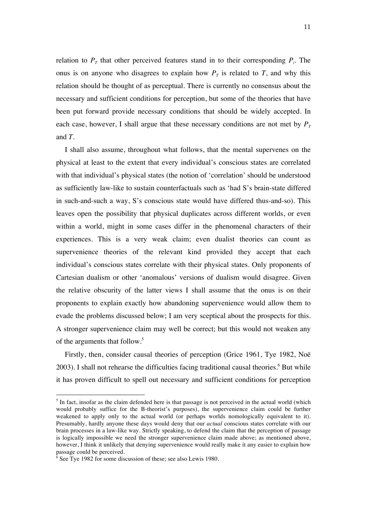relation to  $P<sub>T</sub>$  that other perceived features stand in to their corresponding  $P<sub>i</sub>$ . The onus is on anyone who disagrees to explain how  $P<sub>T</sub>$  is related to *T*, and why this relation should be thought of as perceptual. There is currently no consensus about the necessary and sufficient conditions for perception, but some of the theories that have been put forward provide necessary conditions that should be widely accepted. In each case, however, I shall argue that these necessary conditions are not met by  $P<sub>T</sub>$ and *T*.

I shall also assume, throughout what follows, that the mental supervenes on the physical at least to the extent that every individual's conscious states are correlated with that individual's physical states (the notion of 'correlation' should be understood as sufficiently law-like to sustain counterfactuals such as 'had S's brain-state differed in such-and-such a way, S's conscious state would have differed thus-and-so). This leaves open the possibility that physical duplicates across different worlds, or even within a world, might in some cases differ in the phenomenal characters of their experiences. This is a very weak claim; even dualist theories can count as supervenience theories of the relevant kind provided they accept that each individual's conscious states correlate with their physical states. Only proponents of Cartesian dualism or other 'anomalous' versions of dualism would disagree. Given the relative obscurity of the latter views I shall assume that the onus is on their proponents to explain exactly how abandoning supervenience would allow them to evade the problems discussed below; I am very sceptical about the prospects for this. A stronger supervenience claim may well be correct; but this would not weaken any of the arguments that follow.<sup>5</sup>

Firstly, then, consider causal theories of perception (Grice 1961, Tye 1982, Noë  $2003$ ). I shall not rehearse the difficulties facing traditional causal theories.<sup>6</sup> But while it has proven difficult to spell out necessary and sufficient conditions for perception

 $<sup>5</sup>$  In fact, insofar as the claim defended here is that passage is not perceived in the actual world (which</sup> would probably suffice for the B-theorist's purposes), the supervenience claim could be further weakened to apply only to the actual world (or perhaps worlds nomologically equivalent to it). Presumably, hardly anyone these days would deny that our *actual* conscious states correlate with our brain processes in a law-like way. Strictly speaking, to defend the claim that the perception of passage is logically impossible we need the stronger supervenience claim made above; as mentioned above, however, I think it unlikely that denying supervenience would really make it any easier to explain how passage could be perceived.

 $\frac{1}{6}$  See Tye 1982 for some discussion of these; see also Lewis 1980.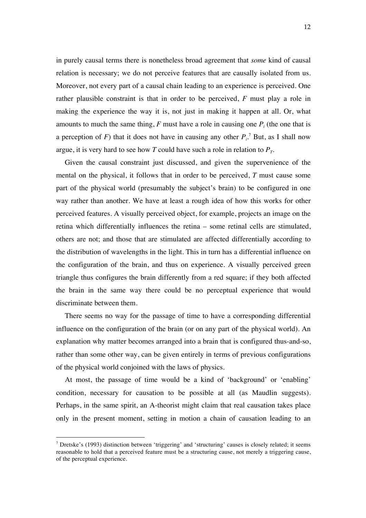in purely causal terms there is nonetheless broad agreement that *some* kind of causal relation is necessary; we do not perceive features that are causally isolated from us. Moreover, not every part of a causal chain leading to an experience is perceived. One rather plausible constraint is that in order to be perceived, *F* must play a role in making the experience the way it is, not just in making it happen at all. Or, what amounts to much the same thing,  $F$  must have a role in causing one  $P_i$  (the one that is a perception of *F*) that it does not have in causing any other  $P_i^T$  But, as I shall now argue, it is very hard to see how *T* could have such a role in relation to  $P<sub>T</sub>$ .

Given the causal constraint just discussed, and given the supervenience of the mental on the physical, it follows that in order to be perceived, *T* must cause some part of the physical world (presumably the subject's brain) to be configured in one way rather than another. We have at least a rough idea of how this works for other perceived features. A visually perceived object, for example, projects an image on the retina which differentially influences the retina – some retinal cells are stimulated, others are not; and those that are stimulated are affected differentially according to the distribution of wavelengths in the light. This in turn has a differential influence on the configuration of the brain, and thus on experience. A visually perceived green triangle thus configures the brain differently from a red square; if they both affected the brain in the same way there could be no perceptual experience that would discriminate between them.

There seems no way for the passage of time to have a corresponding differential influence on the configuration of the brain (or on any part of the physical world). An explanation why matter becomes arranged into a brain that is configured thus-and-so, rather than some other way, can be given entirely in terms of previous configurations of the physical world conjoined with the laws of physics.

At most, the passage of time would be a kind of 'background' or 'enabling' condition, necessary for causation to be possible at all (as Maudlin suggests). Perhaps, in the same spirit, an A-theorist might claim that real causation takes place only in the present moment, setting in motion a chain of causation leading to an

l

 $7$  Dretske's (1993) distinction between 'triggering' and 'structuring' causes is closely related; it seems reasonable to hold that a perceived feature must be a structuring cause, not merely a triggering cause, of the perceptual experience.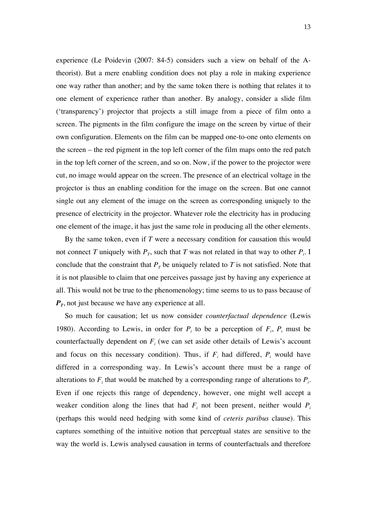experience (Le Poidevin (2007: 84-5) considers such a view on behalf of the Atheorist). But a mere enabling condition does not play a role in making experience one way rather than another; and by the same token there is nothing that relates it to one element of experience rather than another. By analogy, consider a slide film ('transparency') projector that projects a still image from a piece of film onto a screen. The pigments in the film configure the image on the screen by virtue of their own configuration. Elements on the film can be mapped one-to-one onto elements on the screen – the red pigment in the top left corner of the film maps onto the red patch in the top left corner of the screen, and so on. Now, if the power to the projector were cut, no image would appear on the screen. The presence of an electrical voltage in the projector is thus an enabling condition for the image on the screen. But one cannot single out any element of the image on the screen as corresponding uniquely to the presence of electricity in the projector. Whatever role the electricity has in producing one element of the image, it has just the same role in producing all the other elements.

By the same token, even if *T* were a necessary condition for causation this would not connect *T* uniquely with  $P_T$ , such that *T* was not related in that way to other  $P_i$ . I conclude that the constraint that  $P_T$  be uniquely related to  $T$  is not satisfied. Note that it is not plausible to claim that one perceives passage just by having any experience at all. This would not be true to the phenomenology; time seems to us to pass because of  $P_T$ , not just because we have any experience at all.

So much for causation; let us now consider *counterfactual dependence* (Lewis 1980). According to Lewis, in order for  $P_i$  to be a perception of  $F_i$ ,  $P_i$  must be counterfactually dependent on  $F_i$  (we can set aside other details of Lewis's account and focus on this necessary condition). Thus, if  $F_i$  had differed,  $P_i$  would have differed in a corresponding way. In Lewis's account there must be a range of alterations to  $F_i$  that would be matched by a corresponding range of alterations to  $P_i$ . Even if one rejects this range of dependency, however, one might well accept a weaker condition along the lines that had  $F_i$  not been present, neither would  $P_i$ (perhaps this would need hedging with some kind of *ceteris paribus* clause). This captures something of the intuitive notion that perceptual states are sensitive to the way the world is. Lewis analysed causation in terms of counterfactuals and therefore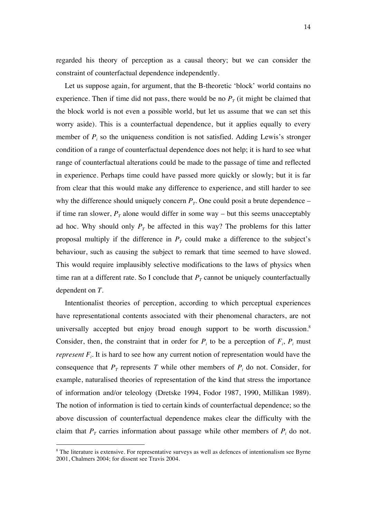Let us suppose again, for argument, that the B-theoretic 'block' world contains no experience. Then if time did not pass, there would be no  $P<sub>T</sub>$  (it might be claimed that the block world is not even a possible world, but let us assume that we can set this worry aside). This is a counterfactual dependence, but it applies equally to every member of  $P_i$  so the uniqueness condition is not satisfied. Adding Lewis's stronger condition of a range of counterfactual dependence does not help; it is hard to see what range of counterfactual alterations could be made to the passage of time and reflected in experience. Perhaps time could have passed more quickly or slowly; but it is far from clear that this would make any difference to experience, and still harder to see why the difference should uniquely concern  $P<sub>T</sub>$ . One could posit a brute dependence – if time ran slower,  $P<sub>T</sub>$  alone would differ in some way – but this seems unacceptably ad hoc. Why should only  $P<sub>T</sub>$  be affected in this way? The problems for this latter proposal multiply if the difference in  $P<sub>T</sub>$  could make a difference to the subject's behaviour, such as causing the subject to remark that time seemed to have slowed. This would require implausibly selective modifications to the laws of physics when time ran at a different rate. So I conclude that  $P<sub>T</sub>$  cannot be uniquely counterfactually dependent on *T*.

Intentionalist theories of perception, according to which perceptual experiences have representational contents associated with their phenomenal characters, are not universally accepted but enjoy broad enough support to be worth discussion.<sup>8</sup> Consider, then, the constraint that in order for  $P_i$  to be a perception of  $F_i$ ,  $P_i$  must *represent*  $F_i$ . It is hard to see how any current notion of representation would have the consequence that  $P_T$  represents *T* while other members of  $P_i$  do not. Consider, for example, naturalised theories of representation of the kind that stress the importance of information and/or teleology (Dretske 1994, Fodor 1987, 1990, Millikan 1989). The notion of information is tied to certain kinds of counterfactual dependence; so the above discussion of counterfactual dependence makes clear the difficulty with the claim that  $P_T$  carries information about passage while other members of  $P_i$  do not.

 $8$  The literature is extensive. For representative surveys as well as defences of intentionalism see Byrne 2001, Chalmers 2004; for dissent see Travis 2004.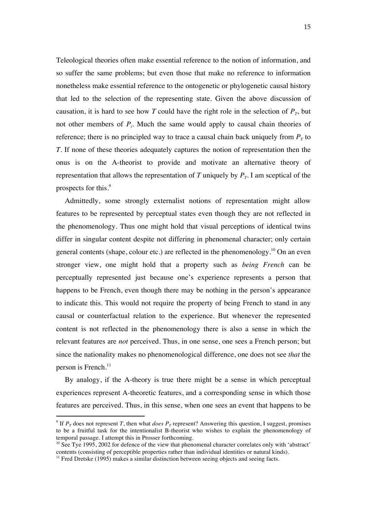Teleological theories often make essential reference to the notion of information, and so suffer the same problems; but even those that make no reference to information nonetheless make essential reference to the ontogenetic or phylogenetic causal history that led to the selection of the representing state. Given the above discussion of causation, it is hard to see how *T* could have the right role in the selection of  $P<sub>T</sub>$ , but not other members of  $P_i$ . Much the same would apply to causal chain theories of reference; there is no principled way to trace a causal chain back uniquely from  $P<sub>T</sub>$  to *T*. If none of these theories adequately captures the notion of representation then the onus is on the A-theorist to provide and motivate an alternative theory of representation that allows the representation of  $T$  uniquely by  $P_T$ . I am sceptical of the prospects for this.<sup>9</sup>

Admittedly, some strongly externalist notions of representation might allow features to be represented by perceptual states even though they are not reflected in the phenomenology. Thus one might hold that visual perceptions of identical twins differ in singular content despite not differing in phenomenal character; only certain general contents (shape, colour etc.) are reflected in the phenomenology.<sup>10</sup> On an even stronger view, one might hold that a property such as *being French* can be perceptually represented just because one's experience represents a person that happens to be French, even though there may be nothing in the person's appearance to indicate this. This would not require the property of being French to stand in any causal or counterfactual relation to the experience. But whenever the represented content is not reflected in the phenomenology there is also a sense in which the relevant features are *not* perceived. Thus, in one sense, one sees a French person; but since the nationality makes no phenomenological difference, one does not see *that* the person is French.<sup>11</sup>

By analogy, if the A-theory is true there might be a sense in which perceptual experiences represent A-theoretic features, and a corresponding sense in which those features are perceived. Thus, in this sense, when one sees an event that happens to be

<sup>&</sup>lt;sup>9</sup> If  $P_T$  does not represent *T*, then what *does*  $P_T$  represent? Answering this question, I suggest, promises to be a fruitful task for the intentionalist B-theorist who wishes to explain the phenomenology of temporal passage. I attempt this in Prosser forthcoming.

<sup>&</sup>lt;sup>10</sup> See Tye 1995, 2002 for defence of the view that phenomenal character correlates only with 'abstract' contents (consisting of perceptible properties rather than individual identities or natural kinds).

<sup>&</sup>lt;sup>11</sup> Fred Dretske (1995) makes a similar distinction between seeing objects and seeing facts.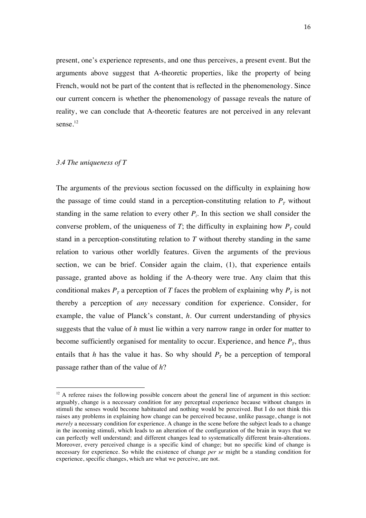present, one's experience represents, and one thus perceives, a present event. But the arguments above suggest that A-theoretic properties, like the property of being French, would not be part of the content that is reflected in the phenomenology. Since our current concern is whether the phenomenology of passage reveals the nature of reality, we can conclude that A-theoretic features are not perceived in any relevant sense. $^{12}$ 

### *3.4 The uniqueness of T*

 $\overline{a}$ 

The arguments of the previous section focussed on the difficulty in explaining how the passage of time could stand in a perception-constituting relation to  $P<sub>T</sub>$  without standing in the same relation to every other  $P_i$ . In this section we shall consider the converse problem, of the uniqueness of *T*; the difficulty in explaining how  $P<sub>T</sub>$  could stand in a perception-constituting relation to *T* without thereby standing in the same relation to various other worldly features. Given the arguments of the previous section, we can be brief. Consider again the claim, (1), that experience entails passage, granted above as holding if the A-theory were true. Any claim that this conditional makes  $P_T$  a perception of *T* faces the problem of explaining why  $P_T$  is not thereby a perception of *any* necessary condition for experience. Consider, for example, the value of Planck's constant, *h*. Our current understanding of physics suggests that the value of *h* must lie within a very narrow range in order for matter to become sufficiently organised for mentality to occur. Experience, and hence  $P<sub>T</sub>$ , thus entails that *h* has the value it has. So why should  $P<sub>T</sub>$  be a perception of temporal passage rather than of the value of *h*?

 $12$  A referee raises the following possible concern about the general line of argument in this section: arguably, change is a necessary condition for any perceptual experience because without changes in stimuli the senses would become habituated and nothing would be perceived. But I do not think this raises any problems in explaining how change can be perceived because, unlike passage, change is not *merely* a necessary condition for experience. A change in the scene before the subject leads to a change in the incoming stimuli, which leads to an alteration of the configuration of the brain in ways that we can perfectly well understand; and different changes lead to systematically different brain-alterations. Moreover, every perceived change is a specific kind of change; but no specific kind of change is necessary for experience. So while the existence of change *per se* might be a standing condition for experience, specific changes, which are what we perceive, are not.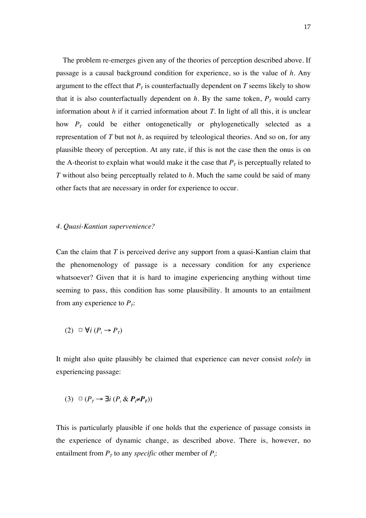The problem re-emerges given any of the theories of perception described above. If passage is a causal background condition for experience, so is the value of *h*. Any argument to the effect that  $P<sub>T</sub>$  is counterfactually dependent on  $T$  seems likely to show that it is also counterfactually dependent on  $h$ . By the same token,  $P<sub>T</sub>$  would carry information about *h* if it carried information about *T*. In light of all this, it is unclear how  $P_T$  could be either ontogenetically or phylogenetically selected as a representation of *T* but not *h*, as required by teleological theories. And so on, for any plausible theory of perception. At any rate, if this is not the case then the onus is on the A-theorist to explain what would make it the case that  $P<sub>T</sub>$  is perceptually related to *T* without also being perceptually related to *h*. Much the same could be said of many other facts that are necessary in order for experience to occur.

## *4. Quasi-Kantian supervenience?*

Can the claim that *T* is perceived derive any support from a quasi-Kantian claim that the phenomenology of passage is a necessary condition for any experience whatsoever? Given that it is hard to imagine experiencing anything without time seeming to pass, this condition has some plausibility. It amounts to an entailment from any experience to  $P_T$ :

$$
(2) \ \Box \ \forall i \ (P_i \rightarrow P_T)
$$

It might also quite plausibly be claimed that experience can never consist *solely* in experiencing passage:

$$
(3) \ \Box (P_T \rightarrow \exists i \ (P_i \ \& \ P_i \neq P_T))
$$

This is particularly plausible if one holds that the experience of passage consists in the experience of dynamic change, as described above. There is, however, no entailment from  $P<sub>T</sub>$  to any *specific* other member of  $P<sub>i</sub>$ :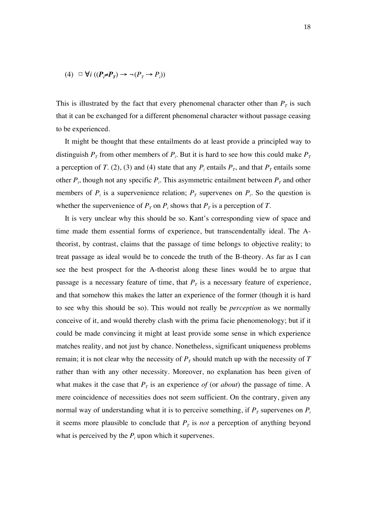$$
(4) \quad \Box \, \forall i \, ((P_i \neq P_T) \rightarrow \neg (P_T \rightarrow P_i))
$$

This is illustrated by the fact that every phenomenal character other than  $P<sub>T</sub>$  is such that it can be exchanged for a different phenomenal character without passage ceasing to be experienced.

It might be thought that these entailments do at least provide a principled way to distinguish  $P_T$  from other members of  $P_i$ . But it is hard to see how this could make  $P_T$ a perception of *T*. (2), (3) and (4) state that any  $P_i$  entails  $P_T$ , and that  $P_T$  entails some other  $P_i$ , though not any specific  $P_i$ . This asymmetric entailment between  $P_i$  and other members of  $P_i$  is a supervenience relation;  $P_T$  supervenes on  $P_i$ . So the question is whether the supervenience of  $P_T$  on  $P_i$  shows that  $P_T$  is a perception of *T*.

It is very unclear why this should be so. Kant's corresponding view of space and time made them essential forms of experience, but transcendentally ideal. The Atheorist, by contrast, claims that the passage of time belongs to objective reality; to treat passage as ideal would be to concede the truth of the B-theory. As far as I can see the best prospect for the A-theorist along these lines would be to argue that passage is a necessary feature of time, that  $P<sub>T</sub>$  is a necessary feature of experience, and that somehow this makes the latter an experience of the former (though it is hard to see why this should be so). This would not really be *perception* as we normally conceive of it, and would thereby clash with the prima facie phenomenology; but if it could be made convincing it might at least provide some sense in which experience matches reality, and not just by chance. Nonetheless, significant uniqueness problems remain; it is not clear why the necessity of  $P<sub>T</sub>$  should match up with the necessity of  $T$ rather than with any other necessity. Moreover, no explanation has been given of what makes it the case that  $P<sub>T</sub>$  is an experience *of* (or *about*) the passage of time. A mere coincidence of necessities does not seem sufficient. On the contrary, given any normal way of understanding what it is to perceive something, if  $P<sub>T</sub>$  supervenes on  $P<sub>i</sub>$ it seems more plausible to conclude that  $P<sub>T</sub>$  is *not* a perception of anything beyond what is perceived by the  $P_i$  upon which it supervenes.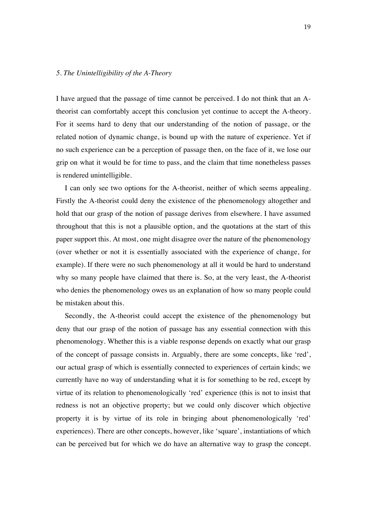#### *5. The Unintelligibility of the A-Theory*

I have argued that the passage of time cannot be perceived. I do not think that an Atheorist can comfortably accept this conclusion yet continue to accept the A-theory. For it seems hard to deny that our understanding of the notion of passage, or the related notion of dynamic change, is bound up with the nature of experience. Yet if no such experience can be a perception of passage then, on the face of it, we lose our grip on what it would be for time to pass, and the claim that time nonetheless passes is rendered unintelligible.

I can only see two options for the A-theorist, neither of which seems appealing. Firstly the A-theorist could deny the existence of the phenomenology altogether and hold that our grasp of the notion of passage derives from elsewhere. I have assumed throughout that this is not a plausible option, and the quotations at the start of this paper support this. At most, one might disagree over the nature of the phenomenology (over whether or not it is essentially associated with the experience of change, for example). If there were no such phenomenology at all it would be hard to understand why so many people have claimed that there is. So, at the very least, the A-theorist who denies the phenomenology owes us an explanation of how so many people could be mistaken about this.

Secondly, the A-theorist could accept the existence of the phenomenology but deny that our grasp of the notion of passage has any essential connection with this phenomenology. Whether this is a viable response depends on exactly what our grasp of the concept of passage consists in. Arguably, there are some concepts, like 'red', our actual grasp of which is essentially connected to experiences of certain kinds; we currently have no way of understanding what it is for something to be red, except by virtue of its relation to phenomenologically 'red' experience (this is not to insist that redness is not an objective property; but we could only discover which objective property it is by virtue of its role in bringing about phenomenologically 'red' experiences). There are other concepts, however, like 'square', instantiations of which can be perceived but for which we do have an alternative way to grasp the concept.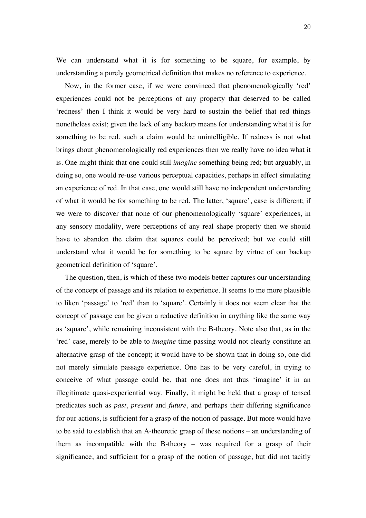We can understand what it is for something to be square, for example, by understanding a purely geometrical definition that makes no reference to experience.

Now, in the former case, if we were convinced that phenomenologically 'red' experiences could not be perceptions of any property that deserved to be called 'redness' then I think it would be very hard to sustain the belief that red things nonetheless exist; given the lack of any backup means for understanding what it is for something to be red, such a claim would be unintelligible. If redness is not what brings about phenomenologically red experiences then we really have no idea what it is. One might think that one could still *imagine* something being red; but arguably, in doing so, one would re-use various perceptual capacities, perhaps in effect simulating an experience of red. In that case, one would still have no independent understanding of what it would be for something to be red. The latter, 'square', case is different; if we were to discover that none of our phenomenologically 'square' experiences, in any sensory modality, were perceptions of any real shape property then we should have to abandon the claim that squares could be perceived; but we could still understand what it would be for something to be square by virtue of our backup geometrical definition of 'square'.

The question, then, is which of these two models better captures our understanding of the concept of passage and its relation to experience. It seems to me more plausible to liken 'passage' to 'red' than to 'square'. Certainly it does not seem clear that the concept of passage can be given a reductive definition in anything like the same way as 'square', while remaining inconsistent with the B-theory. Note also that, as in the 'red' case, merely to be able to *imagine* time passing would not clearly constitute an alternative grasp of the concept; it would have to be shown that in doing so, one did not merely simulate passage experience. One has to be very careful, in trying to conceive of what passage could be, that one does not thus 'imagine' it in an illegitimate quasi-experiential way. Finally, it might be held that a grasp of tensed predicates such as *past*, *present* and *future*, and perhaps their differing significance for our actions, is sufficient for a grasp of the notion of passage. But more would have to be said to establish that an A-theoretic grasp of these notions – an understanding of them as incompatible with the B-theory – was required for a grasp of their significance, and sufficient for a grasp of the notion of passage, but did not tacitly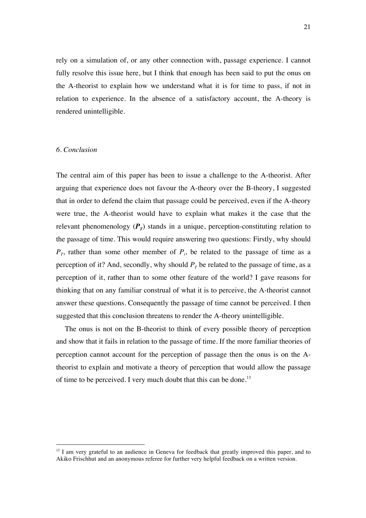rely on a simulation of, or any other connection with, passage experience. I cannot fully resolve this issue here, but I think that enough has been said to put the onus on the A-theorist to explain how we understand what it is for time to pass, if not in relation to experience. In the absence of a satisfactory account, the A-theory is rendered unintelligible.

#### *6. Conclusion*

 $\overline{a}$ 

The central aim of this paper has been to issue a challenge to the A-theorist. After arguing that experience does not favour the A-theory over the B-theory, I suggested that in order to defend the claim that passage could be perceived, even if the A-theory were true, the A-theorist would have to explain what makes it the case that the relevant phenomenology  $(P_T)$  stands in a unique, perception-constituting relation to the passage of time. This would require answering two questions: Firstly, why should  $P_T$ , rather than some other member of  $P_i$ , be related to the passage of time as a perception of it? And, secondly, why should  $P<sub>T</sub>$  be related to the passage of time, as a perception of it, rather than to some other feature of the world? I gave reasons for thinking that on any familiar construal of what it is to perceive, the A-theorist cannot answer these questions. Consequently the passage of time cannot be perceived. I then suggested that this conclusion threatens to render the A-theory unintelligible.

The onus is not on the B-theorist to think of every possible theory of perception and show that it fails in relation to the passage of time. If the more familiar theories of perception cannot account for the perception of passage then the onus is on the Atheorist to explain and motivate a theory of perception that would allow the passage of time to be perceived. I very much doubt that this can be done.<sup>13</sup>

<sup>&</sup>lt;sup>13</sup> I am very grateful to an audience in Geneva for feedback that greatly improved this paper, and to Akiko Frischhut and an anonymous referee for further very helpful feedback on a written version.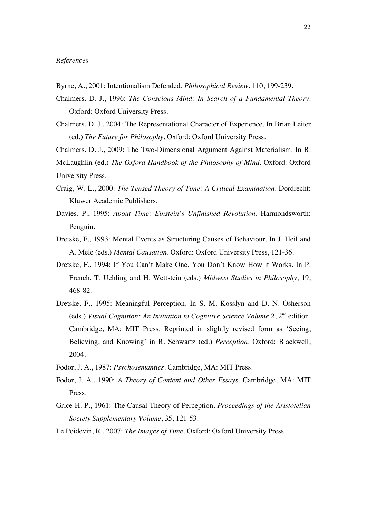- Byrne, A., 2001: Intentionalism Defended. *Philosophical Review*, 110, 199-239.
- Chalmers, D. J., 1996: *The Conscious Mind: In Search of a Fundamental Theory*. Oxford: Oxford University Press.
- Chalmers, D. J., 2004: The Representational Character of Experience. In Brian Leiter (ed.) *The Future for Philosophy*. Oxford: Oxford University Press.

Chalmers, D. J., 2009: The Two-Dimensional Argument Against Materialism. In B.

McLaughlin (ed.) *The Oxford Handbook of the Philosophy of Mind*. Oxford: Oxford University Press.

- Craig, W. L., 2000: *The Tensed Theory of Time: A Critical Examination*. Dordrecht: Kluwer Academic Publishers.
- Davies, P., 1995: *About Time: Einstein's Unfinished Revolution*. Harmondsworth: Penguin.
- Dretske, F., 1993: Mental Events as Structuring Causes of Behaviour. In J. Heil and A. Mele (eds.) *Mental Causation*. Oxford: Oxford University Press, 121-36.
- Dretske, F., 1994: If You Can't Make One, You Don't Know How it Works. In P. French, T. Uehling and H. Wettstein (eds.) *Midwest Studies in Philosophy*, 19, 468-82.
- Dretske, F., 1995: Meaningful Perception. In S. M. Kosslyn and D. N. Osherson (eds.) *Visual Cognition: An Invitation to Cognitive Science Volume 2*, 2nd edition. Cambridge, MA: MIT Press. Reprinted in slightly revised form as 'Seeing, Believing, and Knowing' in R. Schwartz (ed.) *Perception*. Oxford: Blackwell, 2004.
- Fodor, J. A., 1987: *Psychosemantics*. Cambridge, MA: MIT Press.
- Fodor, J. A., 1990: *A Theory of Content and Other Essays*. Cambridge, MA: MIT Press.
- Grice H. P., 1961: The Causal Theory of Perception. *Proceedings of the Aristotelian Society Supplementary Volume*, 35, 121-53.
- Le Poidevin, R., 2007: *The Images of Time*. Oxford: Oxford University Press.